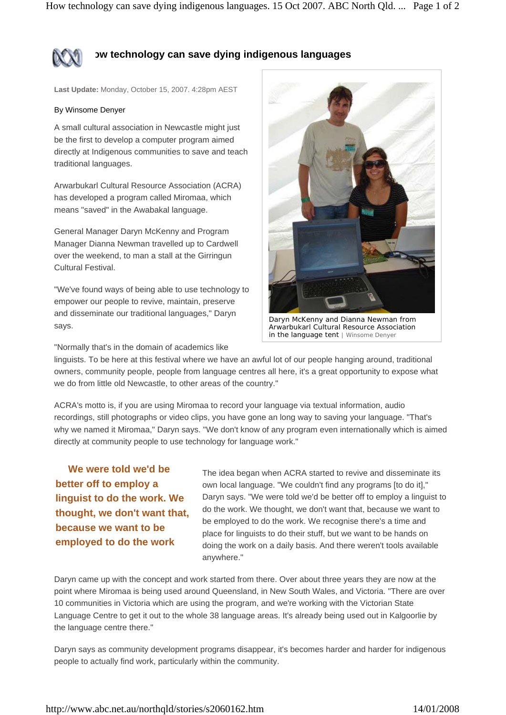

## **How technology can save dying indigenous languages**

**Last Update:** Monday, October 15, 2007. 4:28pm AEST

## By Winsome Denyer

A small cultural association in Newcastle might just be the first to develop a computer program aimed directly at Indigenous communities to save and teach traditional languages.

Arwarbukarl Cultural Resource Association (ACRA) has developed a program called Miromaa, which means "saved" in the Awabakal language.

General Manager Daryn McKenny and Program Manager Dianna Newman travelled up to Cardwell over the weekend, to man a stall at the Girringun Cultural Festival.

"We've found ways of being able to use technology to empower our people to revive, maintain, preserve and disseminate our traditional languages," Daryn says.



Daryn McKenny and Dianna Newman from Arwarbukarl Cultural Resource Association in the language tent | Winsome Denyer

"Normally that's in the domain of academics like

linguists. To be here at this festival where we have an awful lot of our people hanging around, traditional owners, community people, people from language centres all here, it's a great opportunity to expose what we do from little old Newcastle, to other areas of the country."

ACRA's motto is, if you are using Miromaa to record your language via textual information, audio recordings, still photographs or video clips, you have gone an long way to saving your language. "That's why we named it Miromaa," Daryn says. "We don't know of any program even internationally which is aimed directly at community people to use technology for language work."

**We were told we'd be better off to employ a linguist to do the work. We thought, we don't want that, because we want to be employed to do the work** 

The idea began when ACRA started to revive and disseminate its own local language. "We couldn't find any programs [to do it]," Daryn says. "We were told we'd be better off to employ a linguist to do the work. We thought, we don't want that, because we want to be employed to do the work. We recognise there's a time and place for linguists to do their stuff, but we want to be hands on doing the work on a daily basis. And there weren't tools available anywhere."

Daryn came up with the concept and work started from there. Over about three years they are now at the point where Miromaa is being used around Queensland, in New South Wales, and Victoria. "There are over 10 communities in Victoria which are using the program, and we're working with the Victorian State Language Centre to get it out to the whole 38 language areas. It's already being used out in Kalgoorlie by the language centre there."

Daryn says as community development programs disappear, it's becomes harder and harder for indigenous people to actually find work, particularly within the community.